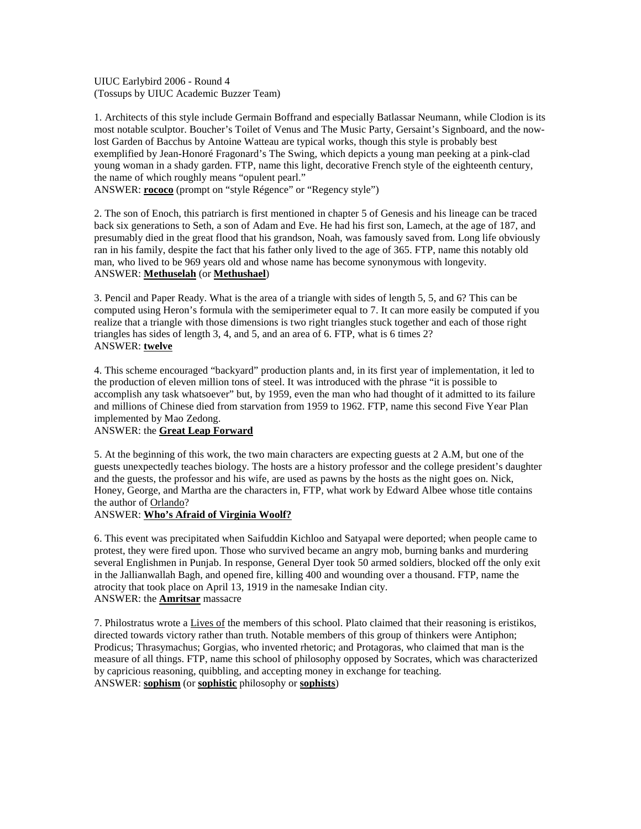UIUC Earlybird 2006 - Round 4 (Tossups by UIUC Academic Buzzer Team)

1. Architects of this style include Germain Boffrand and especially Batlassar Neumann, while Clodion is its most notable sculptor. Boucher's Toilet of Venus and The Music Party, Gersaint's Signboard, and the nowlost Garden of Bacchus by Antoine Watteau are typical works, though this style is probably best exemplified by Jean-Honoré Fragonard's The Swing, which depicts a young man peeking at a pink-clad young woman in a shady garden. FTP, name this light, decorative French style of the eighteenth century, the name of which roughly means "opulent pearl."

ANSWER: **rococo** (prompt on "style Régence" or "Regency style")

2. The son of Enoch, this patriarch is first mentioned in chapter 5 of Genesis and his lineage can be traced back six generations to Seth, a son of Adam and Eve. He had his first son, Lamech, at the age of 187, and presumably died in the great flood that his grandson, Noah, was famously saved from. Long life obviously ran in his family, despite the fact that his father only lived to the age of 365. FTP, name this notably old man, who lived to be 969 years old and whose name has become synonymous with longevity. ANSWER: **Methuselah** (or **Methushael**)

3. Pencil and Paper Ready. What is the area of a triangle with sides of length 5, 5, and 6? This can be computed using Heron's formula with the semiperimeter equal to 7. It can more easily be computed if you realize that a triangle with those dimensions is two right triangles stuck together and each of those right triangles has sides of length 3, 4, and 5, and an area of 6. FTP, what is 6 times 2? ANSWER: **twelve**

4. This scheme encouraged "backyard" production plants and, in its first year of implementation, it led to the production of eleven million tons of steel. It was introduced with the phrase "it is possible to accomplish any task whatsoever" but, by 1959, even the man who had thought of it admitted to its failure and millions of Chinese died from starvation from 1959 to 1962. FTP, name this second Five Year Plan implemented by Mao Zedong.

## ANSWER: the **Great Leap Forward**

5. At the beginning of this work, the two main characters are expecting guests at 2 A.M, but one of the guests unexpectedly teaches biology. The hosts are a history professor and the college president's daughter and the guests, the professor and his wife, are used as pawns by the hosts as the night goes on. Nick, Honey, George, and Martha are the characters in, FTP, what work by Edward Albee whose title contains the author of Orlando?

## ANSWER: **Who's Afraid of Virginia Woolf?**

6. This event was precipitated when Saifuddin Kichloo and Satyapal were deported; when people came to protest, they were fired upon. Those who survived became an angry mob, burning banks and murdering several Englishmen in Punjab. In response, General Dyer took 50 armed soldiers, blocked off the only exit in the Jallianwallah Bagh, and opened fire, killing 400 and wounding over a thousand. FTP, name the atrocity that took place on April 13, 1919 in the namesake Indian city. ANSWER: the **Amritsar** massacre

7. Philostratus wrote a Lives of the members of this school. Plato claimed that their reasoning is eristikos, directed towards victory rather than truth. Notable members of this group of thinkers were Antiphon; Prodicus; Thrasymachus; Gorgias, who invented rhetoric; and Protagoras, who claimed that man is the measure of all things. FTP, name this school of philosophy opposed by Socrates, which was characterized by capricious reasoning, quibbling, and accepting money in exchange for teaching. ANSWER: **sophism** (or **sophistic** philosophy or **sophists**)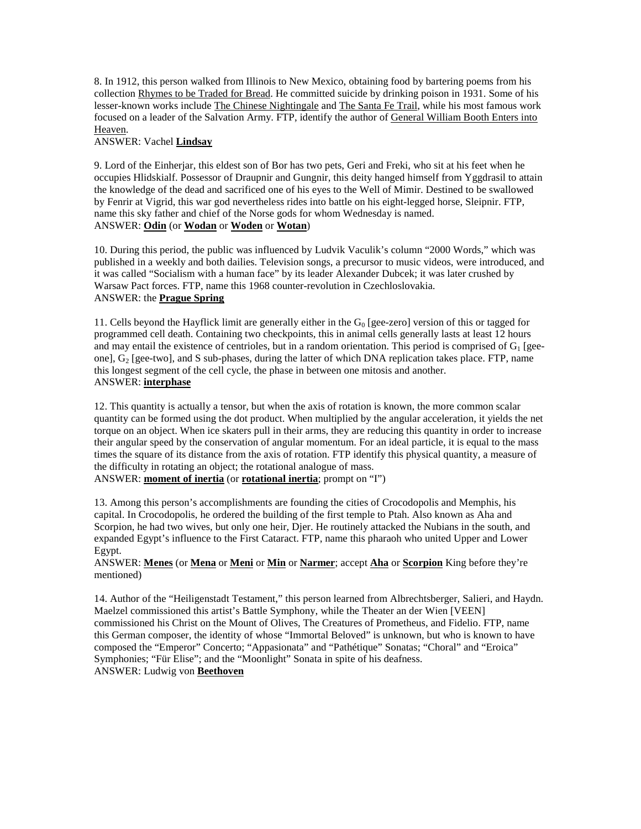8. In 1912, this person walked from Illinois to New Mexico, obtaining food by bartering poems from his collection Rhymes to be Traded for Bread. He committed suicide by drinking poison in 1931. Some of his lesser-known works include The Chinese Nightingale and The Santa Fe Trail, while his most famous work focused on a leader of the Salvation Army. FTP, identify the author of General William Booth Enters into Heaven.

## ANSWER: Vachel **Lindsay**

9. Lord of the Einherjar, this eldest son of Bor has two pets, Geri and Freki, who sit at his feet when he occupies Hlidskialf. Possessor of Draupnir and Gungnir, this deity hanged himself from Yggdrasil to attain the knowledge of the dead and sacrificed one of his eyes to the Well of Mimir. Destined to be swallowed by Fenrir at Vigrid, this war god nevertheless rides into battle on his eight-legged horse, Sleipnir. FTP, name this sky father and chief of the Norse gods for whom Wednesday is named. ANSWER: **Odin** (or **Wodan** or **Woden** or **Wotan**)

10. During this period, the public was influenced by Ludvik Vaculik's column "2000 Words," which was published in a weekly and both dailies. Television songs, a precursor to music videos, were introduced, and it was called "Socialism with a human face" by its leader Alexander Dubcek; it was later crushed by Warsaw Pact forces. FTP, name this 1968 counter-revolution in Czechloslovakia. ANSWER: the **Prague Spring**

11. Cells beyond the Hayflick limit are generally either in the  $G_0$  [gee-zero] version of this or tagged for programmed cell death. Containing two checkpoints, this in animal cells generally lasts at least 12 hours and may entail the existence of centrioles, but in a random orientation. This period is comprised of  $G_1$  [geeone],  $G_2$  [gee-two], and S sub-phases, during the latter of which DNA replication takes place. FTP, name this longest segment of the cell cycle, the phase in between one mitosis and another. ANSWER: **interphase**

12. This quantity is actually a tensor, but when the axis of rotation is known, the more common scalar quantity can be formed using the dot product. When multiplied by the angular acceleration, it yields the net torque on an object. When ice skaters pull in their arms, they are reducing this quantity in order to increase their angular speed by the conservation of angular momentum. For an ideal particle, it is equal to the mass times the square of its distance from the axis of rotation. FTP identify this physical quantity, a measure of the difficulty in rotating an object; the rotational analogue of mass.

ANSWER: **moment of inertia** (or **rotational inertia**; prompt on "I")

13. Among this person's accomplishments are founding the cities of Crocodopolis and Memphis, his capital. In Crocodopolis, he ordered the building of the first temple to Ptah. Also known as Aha and Scorpion, he had two wives, but only one heir, Djer. He routinely attacked the Nubians in the south, and expanded Egypt's influence to the First Cataract. FTP, name this pharaoh who united Upper and Lower Egypt.

#### ANSWER: **Menes** (or **Mena** or **Meni** or **Min** or **Narmer**; accept **Aha** or **Scorpion** King before they're mentioned)

14. Author of the "Heiligenstadt Testament," this person learned from Albrechtsberger, Salieri, and Haydn. Maelzel commissioned this artist's Battle Symphony, while the Theater an der Wien [VEEN] commissioned his Christ on the Mount of Olives, The Creatures of Prometheus, and Fidelio. FTP, name this German composer, the identity of whose "Immortal Beloved" is unknown, but who is known to have composed the "Emperor" Concerto; "Appasionata" and "Pathétique" Sonatas; "Choral" and "Eroica" Symphonies; "Für Elise"; and the "Moonlight" Sonata in spite of his deafness. ANSWER: Ludwig von **Beethoven**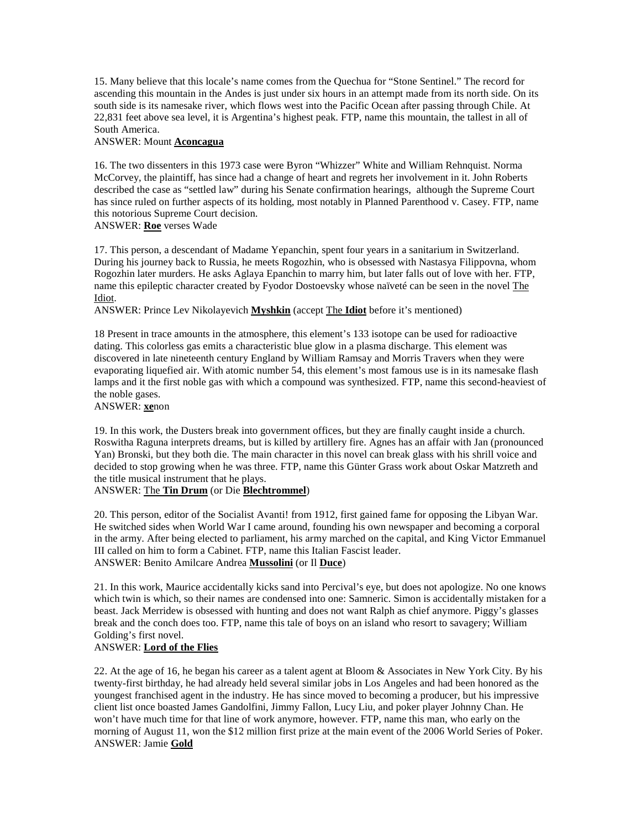15. Many believe that this locale's name comes from the Quechua for "Stone Sentinel." The record for ascending this mountain in the Andes is just under six hours in an attempt made from its north side. On its south side is its namesake river, which flows west into the Pacific Ocean after passing through Chile. At 22,831 feet above sea level, it is Argentina's highest peak. FTP, name this mountain, the tallest in all of South America.

#### ANSWER: Mount **Aconcagua**

16. The two dissenters in this 1973 case were Byron "Whizzer" White and William Rehnquist. Norma McCorvey, the plaintiff, has since had a change of heart and regrets her involvement in it. John Roberts described the case as "settled law" during his Senate confirmation hearings, although the Supreme Court has since ruled on further aspects of its holding, most notably in Planned Parenthood v. Casey. FTP, name this notorious Supreme Court decision. ANSWER: **Roe** verses Wade

17. This person, a descendant of Madame Yepanchin, spent four years in a sanitarium in Switzerland. During his journey back to Russia, he meets Rogozhin, who is obsessed with Nastasya Filippovna, whom Rogozhin later murders. He asks Aglaya Epanchin to marry him, but later falls out of love with her. FTP, name this epileptic character created by Fyodor Dostoevsky whose naïveté can be seen in the novel The Idiot.

ANSWER: Prince Lev Nikolayevich **Myshkin** (accept The **Idiot** before it's mentioned)

18 Present in trace amounts in the atmosphere, this element's 133 isotope can be used for radioactive dating. This colorless gas emits a characteristic blue glow in a plasma discharge. This element was discovered in late nineteenth century England by William Ramsay and Morris Travers when they were evaporating liquefied air. With atomic number 54, this element's most famous use is in its namesake flash lamps and it the first noble gas with which a compound was synthesized. FTP, name this second-heaviest of the noble gases.

ANSWER: **xe**non

19. In this work, the Dusters break into government offices, but they are finally caught inside a church. Roswitha Raguna interprets dreams, but is killed by artillery fire. Agnes has an affair with Jan (pronounced Yan) Bronski, but they both die. The main character in this novel can break glass with his shrill voice and decided to stop growing when he was three. FTP, name this Günter Grass work about Oskar Matzreth and the title musical instrument that he plays.

## ANSWER: The **Tin Drum** (or Die **Blechtrommel**)

20. This person, editor of the Socialist Avanti! from 1912, first gained fame for opposing the Libyan War. He switched sides when World War I came around, founding his own newspaper and becoming a corporal in the army. After being elected to parliament, his army marched on the capital, and King Victor Emmanuel III called on him to form a Cabinet. FTP, name this Italian Fascist leader. ANSWER: Benito Amilcare Andrea **Mussolini** (or Il **Duce**)

21. In this work, Maurice accidentally kicks sand into Percival's eye, but does not apologize. No one knows which twin is which, so their names are condensed into one: Samneric. Simon is accidentally mistaken for a beast. Jack Merridew is obsessed with hunting and does not want Ralph as chief anymore. Piggy's glasses break and the conch does too. FTP, name this tale of boys on an island who resort to savagery; William Golding's first novel.

## ANSWER: **Lord of the Flies**

22. At the age of 16, he began his career as a talent agent at Bloom & Associates in New York City. By his twenty-first birthday, he had already held several similar jobs in Los Angeles and had been honored as the youngest franchised agent in the industry. He has since moved to becoming a producer, but his impressive client list once boasted James Gandolfini, Jimmy Fallon, Lucy Liu, and poker player Johnny Chan. He won't have much time for that line of work anymore, however. FTP, name this man, who early on the morning of August 11, won the \$12 million first prize at the main event of the 2006 World Series of Poker. ANSWER: Jamie **Gold**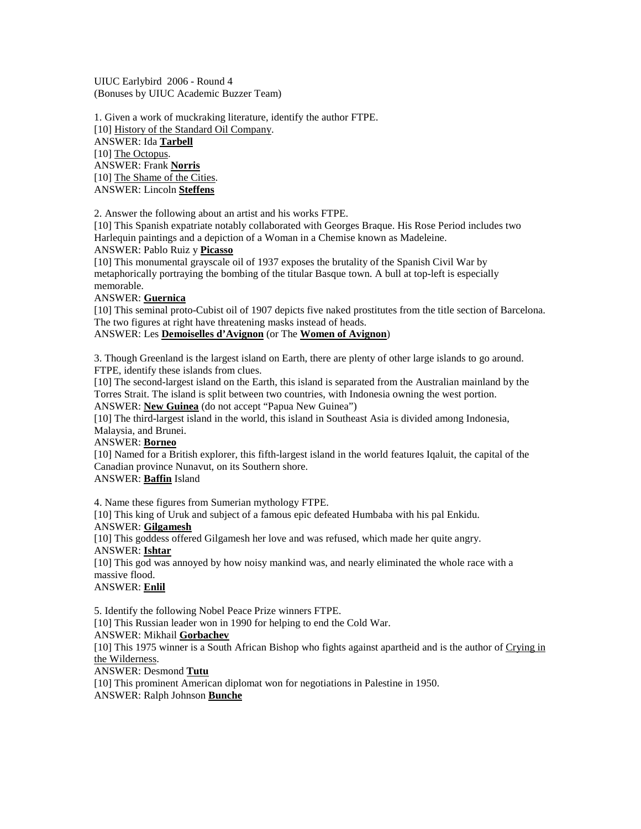UIUC Earlybird 2006 - Round 4 (Bonuses by UIUC Academic Buzzer Team)

1. Given a work of muckraking literature, identify the author FTPE. [10] History of the Standard Oil Company. ANSWER: Ida **Tarbell** [10] The Octopus. ANSWER: Frank **Norris** [10] The Shame of the Cities. ANSWER: Lincoln **Steffens**

2. Answer the following about an artist and his works FTPE.

[10] This Spanish expatriate notably collaborated with Georges Braque. His Rose Period includes two Harlequin paintings and a depiction of a Woman in a Chemise known as Madeleine.

ANSWER: Pablo Ruiz y **Picasso**

[10] This monumental grayscale oil of 1937 exposes the brutality of the Spanish Civil War by metaphorically portraying the bombing of the titular Basque town. A bull at top-left is especially memorable.

## ANSWER: **Guernica**

[10] This seminal proto-Cubist oil of 1907 depicts five naked prostitutes from the title section of Barcelona. The two figures at right have threatening masks instead of heads.

# ANSWER: Les **Demoiselles d'Avignon** (or The **Women of Avignon**)

3. Though Greenland is the largest island on Earth, there are plenty of other large islands to go around. FTPE, identify these islands from clues.

[10] The second-largest island on the Earth, this island is separated from the Australian mainland by the Torres Strait. The island is split between two countries, with Indonesia owning the west portion. ANSWER: **New Guinea** (do not accept "Papua New Guinea")

[10] The third-largest island in the world, this island in Southeast Asia is divided among Indonesia, Malaysia, and Brunei.

ANSWER: **Borneo**

[10] Named for a British explorer, this fifth-largest island in the world features Iqaluit, the capital of the Canadian province Nunavut, on its Southern shore.

## ANSWER: **Baffin** Island

4. Name these figures from Sumerian mythology FTPE.

[10] This king of Uruk and subject of a famous epic defeated Humbaba with his pal Enkidu. ANSWER: **Gilgamesh**

[10] This goddess offered Gilgamesh her love and was refused, which made her quite angry. ANSWER: **Ishtar**

[10] This god was annoyed by how noisy mankind was, and nearly eliminated the whole race with a massive flood.

ANSWER: **Enlil**

5. Identify the following Nobel Peace Prize winners FTPE.

[10] This Russian leader won in 1990 for helping to end the Cold War.

ANSWER: Mikhail **Gorbachev**

[10] This 1975 winner is a South African Bishop who fights against apartheid and is the author of Crying in the Wilderness.

ANSWER: Desmond **Tutu**

[10] This prominent American diplomat won for negotiations in Palestine in 1950. ANSWER: Ralph Johnson **Bunche**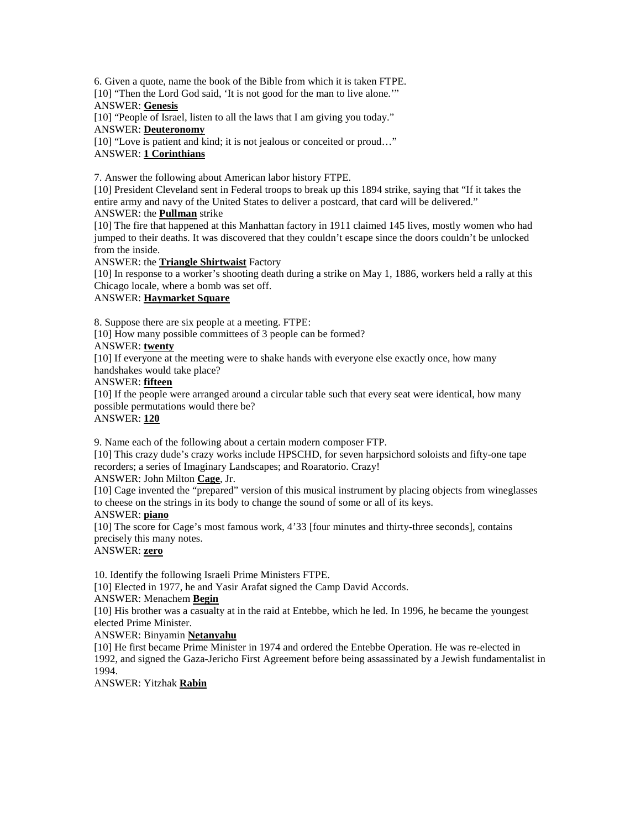6. Given a quote, name the book of the Bible from which it is taken FTPE. [10] "Then the Lord God said, 'It is not good for the man to live alone." ANSWER: **Genesis**

[10] "People of Israel, listen to all the laws that I am giving you today." ANSWER: **Deuteronomy**

[10] "Love is patient and kind; it is not jealous or conceited or proud..." ANSWER: **1 Corinthians**

7. Answer the following about American labor history FTPE.

[10] President Cleveland sent in Federal troops to break up this 1894 strike, saying that "If it takes the entire army and navy of the United States to deliver a postcard, that card will be delivered."

## ANSWER: the **Pullman** strike

[10] The fire that happened at this Manhattan factory in 1911 claimed 145 lives, mostly women who had iumped to their deaths. It was discovered that they couldn't escape since the doors couldn't be unlocked from the inside.

ANSWER: the **Triangle Shirtwaist** Factory

[10] In response to a worker's shooting death during a strike on May 1, 1886, workers held a rally at this Chicago locale, where a bomb was set off.

# ANSWER: **Haymarket Square**

8. Suppose there are six people at a meeting. FTPE:

[10] How many possible committees of 3 people can be formed?

# ANSWER: **twenty**

[10] If everyone at the meeting were to shake hands with everyone else exactly once, how many handshakes would take place?

# ANSWER: **fifteen**

[10] If the people were arranged around a circular table such that every seat were identical, how many possible permutations would there be?

## ANSWER: **120**

9. Name each of the following about a certain modern composer FTP.

[10] This crazy dude's crazy works include HPSCHD, for seven harpsichord soloists and fifty-one tape recorders; a series of Imaginary Landscapes; and Roaratorio. Crazy!

## ANSWER: John Milton **Cage**, Jr.

[10] Cage invented the "prepared" version of this musical instrument by placing objects from wineglasses to cheese on the strings in its body to change the sound of some or all of its keys.

## ANSWER: **piano**

[10] The score for Cage's most famous work, 4'33 [four minutes and thirty-three seconds], contains precisely this many notes.

## ANSWER: **zero**

10. Identify the following Israeli Prime Ministers FTPE.

[10] Elected in 1977, he and Yasir Arafat signed the Camp David Accords.

# ANSWER: Menachem **Begin**

[10] His brother was a casualty at in the raid at Entebbe, which he led. In 1996, he became the youngest elected Prime Minister.

## ANSWER: Binyamin **Netanyahu**

[10] He first became Prime Minister in 1974 and ordered the Entebbe Operation. He was re-elected in 1992, and signed the Gaza-Jericho First Agreement before being assassinated by a Jewish fundamentalist in 1994.

ANSWER: Yitzhak **Rabin**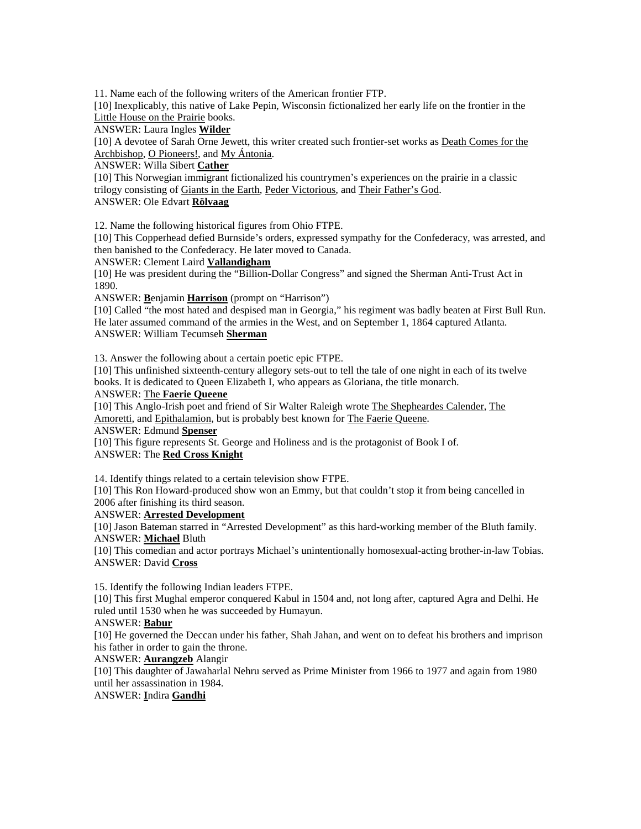11. Name each of the following writers of the American frontier FTP.

[10] Inexplicably, this native of Lake Pepin, Wisconsin fictionalized her early life on the frontier in the Little House on the Prairie books.

ANSWER: Laura Ingles **Wilder**

[10] A devotee of Sarah Orne Jewett, this writer created such frontier-set works as Death Comes for the Archbishop, O Pioneers!, and My Ántonia.

ANSWER: Willa Sibert **Cather**

[10] This Norwegian immigrant fictionalized his countrymen's experiences on the prairie in a classic trilogy consisting of Giants in the Earth, Peder Victorious, and Their Father's God.

ANSWER: Ole Edvart **Rölvaag**

12. Name the following historical figures from Ohio FTPE.

[10] This Copperhead defied Burnside's orders, expressed sympathy for the Confederacy, was arrested, and then banished to the Confederacy. He later moved to Canada.

ANSWER: Clement Laird **Vallandigham**

[10] He was president during the "Billion-Dollar Congress" and signed the Sherman Anti-Trust Act in 1890.

ANSWER: **B**enjamin **Harrison** (prompt on "Harrison")

[10] Called "the most hated and despised man in Georgia," his regiment was badly beaten at First Bull Run. He later assumed command of the armies in the West, and on September 1, 1864 captured Atlanta. ANSWER: William Tecumseh **Sherman**

13. Answer the following about a certain poetic epic FTPE.

[10] This unfinished sixteenth-century allegory sets-out to tell the tale of one night in each of its twelve books. It is dedicated to Queen Elizabeth I, who appears as Gloriana, the title monarch.

#### ANSWER: The **Faerie Queene**

[10] This Anglo-Irish poet and friend of Sir Walter Raleigh wrote The Shepheardes Calender, The Amoretti, and Epithalamion, but is probably best known for The Faerie Queene.

ANSWER: Edmund **Spenser**

[10] This figure represents St. George and Holiness and is the protagonist of Book I of. ANSWER: The **Red Cross Knight**

14. Identify things related to a certain television show FTPE.

[10] This Ron Howard-produced show won an Emmy, but that couldn't stop it from being cancelled in 2006 after finishing its third season.

ANSWER: **Arrested Development**

[10] Jason Bateman starred in "Arrested Development" as this hard-working member of the Bluth family. ANSWER: **Michael** Bluth

[10] This comedian and actor portrays Michael's unintentionally homosexual-acting brother-in-law Tobias. ANSWER: David **Cross**

15. Identify the following Indian leaders FTPE.

[10] This first Mughal emperor conquered Kabul in 1504 and, not long after, captured Agra and Delhi. He ruled until 1530 when he was succeeded by Humayun.

ANSWER: **Babur**

[10] He governed the Deccan under his father, Shah Jahan, and went on to defeat his brothers and imprison his father in order to gain the throne.

ANSWER: **Aurangzeb** Alangir

[10] This daughter of Jawaharlal Nehru served as Prime Minister from 1966 to 1977 and again from 1980 until her assassination in 1984.

ANSWER: **I**ndira **Gandhi**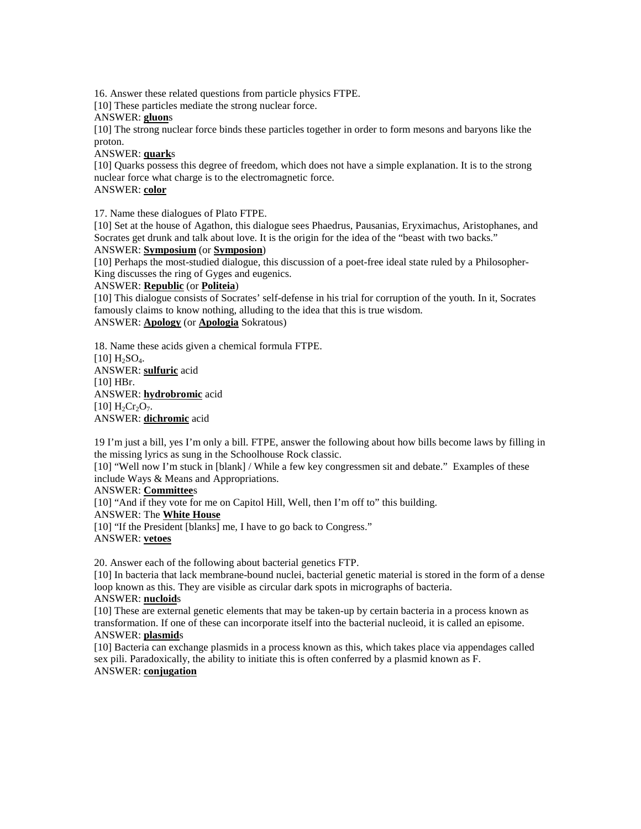16. Answer these related questions from particle physics FTPE.

[10] These particles mediate the strong nuclear force.

#### ANSWER: **gluon**s

[10] The strong nuclear force binds these particles together in order to form mesons and baryons like the proton.

#### ANSWER: **quark**s

[10] Quarks possess this degree of freedom, which does not have a simple explanation. It is to the strong nuclear force what charge is to the electromagnetic force. ANSWER: **color**

17. Name these dialogues of Plato FTPE.

[10] Set at the house of Agathon, this dialogue sees Phaedrus, Pausanias, Eryximachus, Aristophanes, and Socrates get drunk and talk about love. It is the origin for the idea of the "beast with two backs."

## ANSWER: **Symposium** (or **Symposion**)

[10] Perhaps the most-studied dialogue, this discussion of a poet-free ideal state ruled by a Philosopher-King discusses the ring of Gyges and eugenics.

#### ANSWER: **Republic** (or **Politeia**)

[10] This dialogue consists of Socrates' self-defense in his trial for corruption of the youth. In it, Socrates famously claims to know nothing, alluding to the idea that this is true wisdom.

# ANSWER: **Apology** (or **Apologia** Sokratous)

18. Name these acids given a chemical formula FTPE.  $[10]$  H<sub>2</sub>SO<sub>4</sub>. ANSWER: **sulfuric** acid [10] HBr. ANSWER: **hydrobromic** acid  $[10] H_2Cr_2O_7.$ ANSWER: **dichromic** acid

19 I'm just a bill, yes I'm only a bill. FTPE, answer the following about how bills become laws by filling in the missing lyrics as sung in the Schoolhouse Rock classic.

[10] "Well now I'm stuck in [blank] / While a few key congressmen sit and debate." Examples of these include Ways & Means and Appropriations.

#### ANSWER: **Committee**s

[10] "And if they vote for me on Capitol Hill, Well, then I'm off to" this building.

ANSWER: The **White House**

[10] "If the President [blanks] me, I have to go back to Congress." ANSWER: **vetoes**

20. Answer each of the following about bacterial genetics FTP.

[10] In bacteria that lack membrane-bound nuclei, bacterial genetic material is stored in the form of a dense loop known as this. They are visible as circular dark spots in micrographs of bacteria.

# ANSWER: **nucloid**s

[10] These are external genetic elements that may be taken-up by certain bacteria in a process known as transformation. If one of these can incorporate itself into the bacterial nucleoid, it is called an episome. ANSWER: **plasmid**s

[10] Bacteria can exchange plasmids in a process known as this, which takes place via appendages called sex pili. Paradoxically, the ability to initiate this is often conferred by a plasmid known as F. ANSWER: **conjugation**